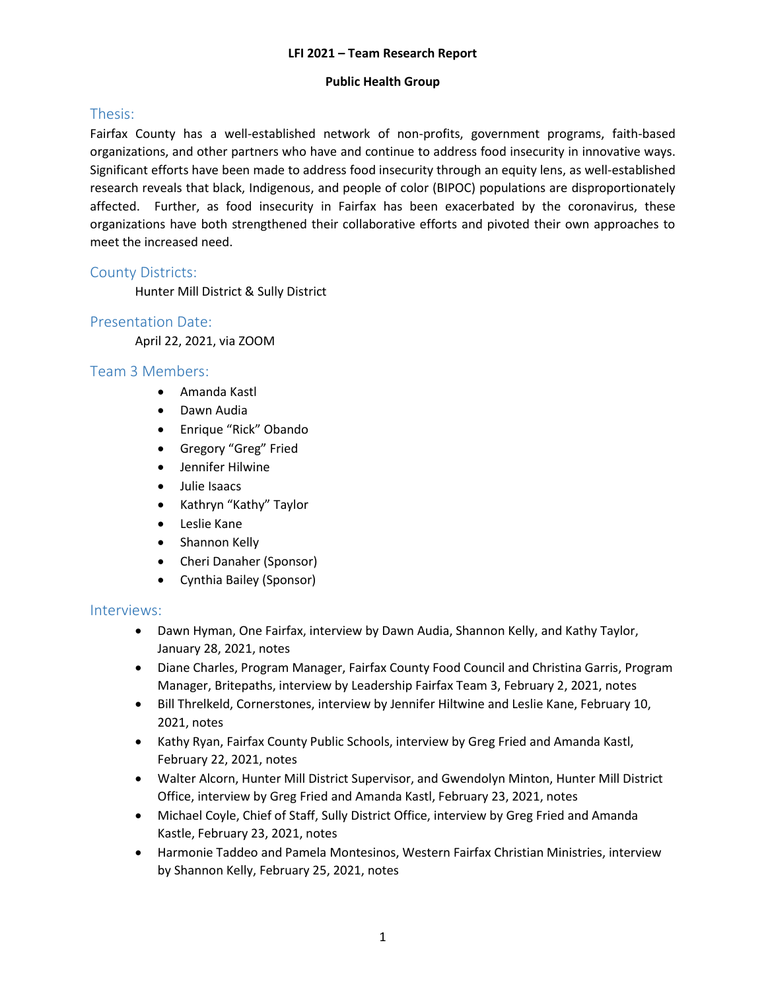#### **Public Health Group**

# Thesis:

Fairfax County has a well-established network of non-profits, government programs, faith-based organizations, and other partners who have and continue to address food insecurity in innovative ways. Significant efforts have been made to address food insecurity through an equity lens, as well-established research reveals that black, Indigenous, and people of color (BIPOC) populations are disproportionately affected. Further, as food insecurity in Fairfax has been exacerbated by the coronavirus, these organizations have both strengthened their collaborative efforts and pivoted their own approaches to meet the increased need.

## County Districts:

Hunter Mill District & Sully District

# Presentation Date:

April 22, 2021, via ZOOM

### Team 3 Members:

- Amanda Kastl
- Dawn Audia
- Enrique "Rick" Obando
- Gregory "Greg" Fried
- Jennifer Hilwine
- Julie Isaacs
- Kathryn "Kathy" Taylor
- Leslie Kane
- Shannon Kelly
- Cheri Danaher (Sponsor)
- Cynthia Bailey (Sponsor)

### Interviews:

- Dawn Hyman, One Fairfax, interview by Dawn Audia, Shannon Kelly, and Kathy Taylor, January 28, 2021, notes
- Diane Charles, Program Manager, Fairfax County Food Council and Christina Garris, Program Manager, Britepaths, interview by Leadership Fairfax Team 3, February 2, 2021, notes
- Bill Threlkeld, Cornerstones, interview by Jennifer Hiltwine and Leslie Kane, February 10, 2021, notes
- Kathy Ryan, Fairfax County Public Schools, interview by Greg Fried and Amanda Kastl, February 22, 2021, notes
- Walter Alcorn, Hunter Mill District Supervisor, and Gwendolyn Minton, Hunter Mill District Office, interview by Greg Fried and Amanda Kastl, February 23, 2021, notes
- Michael Coyle, Chief of Staff, Sully District Office, interview by Greg Fried and Amanda Kastle, February 23, 2021, notes
- Harmonie Taddeo and Pamela Montesinos, Western Fairfax Christian Ministries, interview by Shannon Kelly, February 25, 2021, notes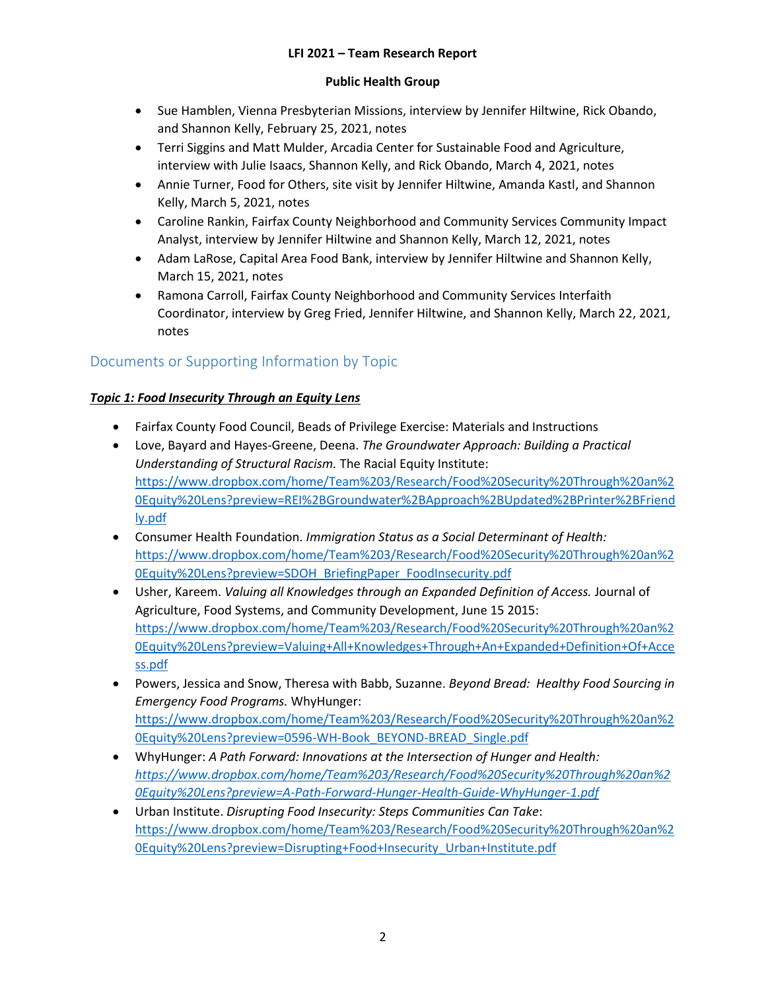### **Public Health Group**

- Sue Hamblen, Vienna Presbyterian Missions, interview by Jennifer Hiltwine, Rick Obando, and Shannon Kelly, February 25, 2021, notes
- Terri Siggins and Matt Mulder, Arcadia Center for Sustainable Food and Agriculture, interview with Julie Isaacs, Shannon Kelly, and Rick Obando, March 4, 2021, notes
- Annie Turner, Food for Others, site visit by Jennifer Hiltwine, Amanda Kastl, and Shannon Kelly, March 5, 2021, notes
- Caroline Rankin, Fairfax County Neighborhood and Community Services Community Impact Analyst, interview by Jennifer Hiltwine and Shannon Kelly, March 12, 2021, notes
- Adam LaRose, Capital Area Food Bank, interview by Jennifer Hiltwine and Shannon Kelly, March 15, 2021, notes
- Ramona Carroll, Fairfax County Neighborhood and Community Services Interfaith Coordinator, interview by Greg Fried, Jennifer Hiltwine, and Shannon Kelly, March 22, 2021, notes

# Documents or Supporting Information by Topic

## *Topic 1: Food Insecurity Through an Equity Lens*

- Fairfax County Food Council, Beads of Privilege Exercise: Materials and Instructions
- Love, Bayard and Hayes-Greene, Deena. *The Groundwater Approach: Building a Practical Understanding of Structural Racism.* The Racial Equity Institute: [https://www.dropbox.com/home/Team%203/Research/Food%20Security%20Through%20an%2](https://www.dropbox.com/home/Team%203/Research/Food%20Security%20Through%20an%20Equity%20Lens?preview=REI%2BGroundwater%2BApproach%2BUpdated%2BPrinter%2BFriendly.pdf) [0Equity%20Lens?preview=REI%2BGroundwater%2BApproach%2BUpdated%2BPrinter%2BFriend](https://www.dropbox.com/home/Team%203/Research/Food%20Security%20Through%20an%20Equity%20Lens?preview=REI%2BGroundwater%2BApproach%2BUpdated%2BPrinter%2BFriendly.pdf) [ly.pdf](https://www.dropbox.com/home/Team%203/Research/Food%20Security%20Through%20an%20Equity%20Lens?preview=REI%2BGroundwater%2BApproach%2BUpdated%2BPrinter%2BFriendly.pdf)
- Consumer Health Foundation. *Immigration Status as a Social Determinant of Health:*  [https://www.dropbox.com/home/Team%203/Research/Food%20Security%20Through%20an%2](https://www.dropbox.com/home/Team%203/Research/Food%20Security%20Through%20an%20Equity%20Lens?preview=SDOH_BriefingPaper_FoodInsecurity.pdf) [0Equity%20Lens?preview=SDOH\\_BriefingPaper\\_FoodInsecurity.pdf](https://www.dropbox.com/home/Team%203/Research/Food%20Security%20Through%20an%20Equity%20Lens?preview=SDOH_BriefingPaper_FoodInsecurity.pdf)
- Usher, Kareem. *Valuing all Knowledges through an Expanded Definition of Access.* Journal of Agriculture, Food Systems, and Community Development, June 15 2015: [https://www.dropbox.com/home/Team%203/Research/Food%20Security%20Through%20an%2](https://www.dropbox.com/home/Team%203/Research/Food%20Security%20Through%20an%20Equity%20Lens?preview=Valuing+All+Knowledges+Through+An+Expanded+Definition+Of+Access.pdf) [0Equity%20Lens?preview=Valuing+All+Knowledges+Through+An+Expanded+Definition+Of+Acce](https://www.dropbox.com/home/Team%203/Research/Food%20Security%20Through%20an%20Equity%20Lens?preview=Valuing+All+Knowledges+Through+An+Expanded+Definition+Of+Access.pdf) [ss.pdf](https://www.dropbox.com/home/Team%203/Research/Food%20Security%20Through%20an%20Equity%20Lens?preview=Valuing+All+Knowledges+Through+An+Expanded+Definition+Of+Access.pdf)
- Powers, Jessica and Snow, Theresa with Babb, Suzanne. *Beyond Bread: Healthy Food Sourcing in Emergency Food Programs.* WhyHunger: [https://www.dropbox.com/home/Team%203/Research/Food%20Security%20Through%20an%2](https://www.dropbox.com/home/Team%203/Research/Food%20Security%20Through%20an%20Equity%20Lens?preview=0596-WH-Book_BEYOND-BREAD_Single.pdf) [0Equity%20Lens?preview=0596-WH-Book\\_BEYOND-BREAD\\_Single.pdf](https://www.dropbox.com/home/Team%203/Research/Food%20Security%20Through%20an%20Equity%20Lens?preview=0596-WH-Book_BEYOND-BREAD_Single.pdf)
- WhyHunger: *A Path Forward: Innovations at the Intersection of Hunger and Health: [https://www.dropbox.com/home/Team%203/Research/Food%20Security%20Through%20an%2](https://www.dropbox.com/home/Team%203/Research/Food%20Security%20Through%20an%20Equity%20Lens?preview=A-Path-Forward-Hunger-Health-Guide-WhyHunger-1.pdf) [0Equity%20Lens?preview=A-Path-Forward-Hunger-Health-Guide-WhyHunger-1.pdf](https://www.dropbox.com/home/Team%203/Research/Food%20Security%20Through%20an%20Equity%20Lens?preview=A-Path-Forward-Hunger-Health-Guide-WhyHunger-1.pdf)*
- Urban Institute. *Disrupting Food Insecurity: Steps Communities Can Take*: [https://www.dropbox.com/home/Team%203/Research/Food%20Security%20Through%20an%2](https://www.dropbox.com/home/Team%203/Research/Food%20Security%20Through%20an%20Equity%20Lens?preview=Disrupting+Food+Insecurity_Urban+Institute.pdf) [0Equity%20Lens?preview=Disrupting+Food+Insecurity\\_Urban+Institute.pdf](https://www.dropbox.com/home/Team%203/Research/Food%20Security%20Through%20an%20Equity%20Lens?preview=Disrupting+Food+Insecurity_Urban+Institute.pdf)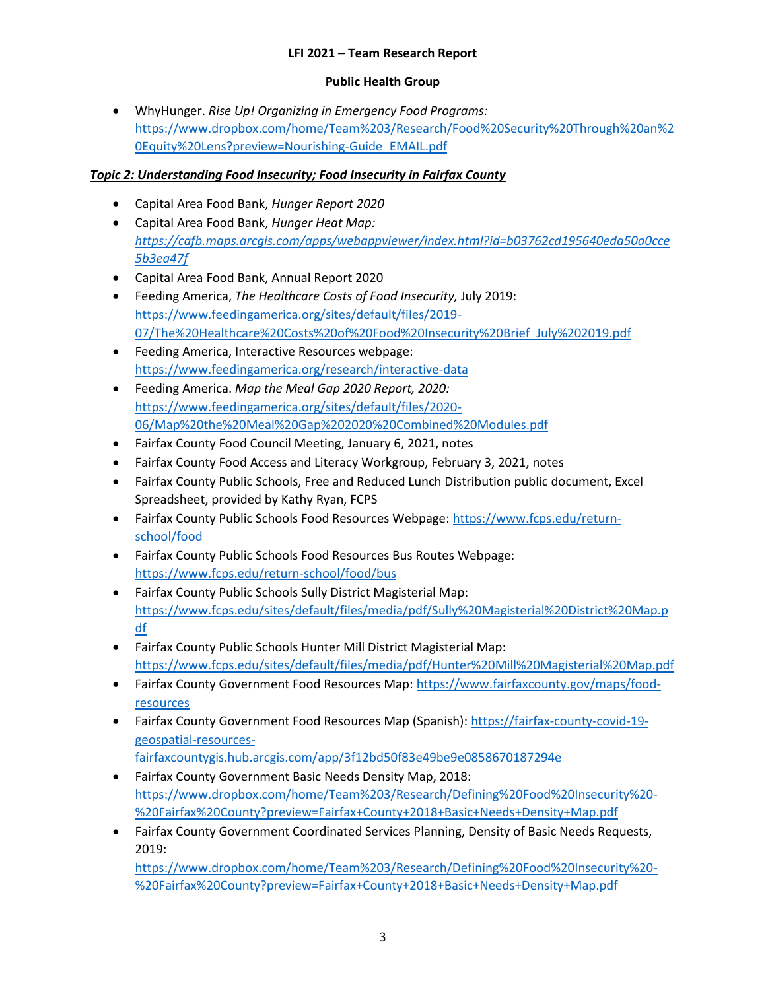### **Public Health Group**

 WhyHunger. *Rise Up! Organizing in Emergency Food Programs:* [https://www.dropbox.com/home/Team%203/Research/Food%20Security%20Through%20an%2](https://www.dropbox.com/home/Team%203/Research/Food%20Security%20Through%20an%20Equity%20Lens?preview=Nourishing-Guide_EMAIL.pdf) [0Equity%20Lens?preview=Nourishing-Guide\\_EMAIL.pdf](https://www.dropbox.com/home/Team%203/Research/Food%20Security%20Through%20an%20Equity%20Lens?preview=Nourishing-Guide_EMAIL.pdf)

## *Topic 2: Understanding Food Insecurity; Food Insecurity in Fairfax County*

- Capital Area Food Bank, *Hunger Report 2020*
- Capital Area Food Bank, *Hunger Heat Map: [https://cafb.maps.arcgis.com/apps/webappviewer/index.html?id=b03762cd195640eda50a0cce](https://cafb.maps.arcgis.com/apps/webappviewer/index.html?id=b03762cd195640eda50a0cce5b3ea47f) [5b3ea47f](https://cafb.maps.arcgis.com/apps/webappviewer/index.html?id=b03762cd195640eda50a0cce5b3ea47f)*
- Capital Area Food Bank, Annual Report 2020
- Feeding America, *The Healthcare Costs of Food Insecurity,* July 2019: [https://www.feedingamerica.org/sites/default/files/2019-](https://www.feedingamerica.org/sites/default/files/2019-07/The%20Healthcare%20Costs%20of%20Food%20Insecurity%20Brief_July%202019.pdf) [07/The%20Healthcare%20Costs%20of%20Food%20Insecurity%20Brief\\_July%202019.pdf](https://www.feedingamerica.org/sites/default/files/2019-07/The%20Healthcare%20Costs%20of%20Food%20Insecurity%20Brief_July%202019.pdf)
- Feeding America, Interactive Resources webpage: <https://www.feedingamerica.org/research/interactive-data>
- Feeding America. *Map the Meal Gap 2020 Report, 2020:*  [https://www.feedingamerica.org/sites/default/files/2020-](https://www.feedingamerica.org/sites/default/files/2020-06/Map%20the%20Meal%20Gap%202020%20Combined%20Modules.pdf) [06/Map%20the%20Meal%20Gap%202020%20Combined%20Modules.pdf](https://www.feedingamerica.org/sites/default/files/2020-06/Map%20the%20Meal%20Gap%202020%20Combined%20Modules.pdf)
- Fairfax County Food Council Meeting, January 6, 2021, notes
- Fairfax County Food Access and Literacy Workgroup, February 3, 2021, notes
- Fairfax County Public Schools, Free and Reduced Lunch Distribution public document, Excel Spreadsheet, provided by Kathy Ryan, FCPS
- Fairfax County Public Schools Food Resources Webpage: [https://www.fcps.edu/return](https://www.fcps.edu/return-school/food)[school/food](https://www.fcps.edu/return-school/food)
- Fairfax County Public Schools Food Resources Bus Routes Webpage: <https://www.fcps.edu/return-school/food/bus>
- Fairfax County Public Schools Sully District Magisterial Map: [https://www.fcps.edu/sites/default/files/media/pdf/Sully%20Magisterial%20District%20Map.p](https://www.fcps.edu/sites/default/files/media/pdf/Sully%20Magisterial%20District%20Map.pdf) [df](https://www.fcps.edu/sites/default/files/media/pdf/Sully%20Magisterial%20District%20Map.pdf)
- Fairfax County Public Schools Hunter Mill District Magisterial Map: <https://www.fcps.edu/sites/default/files/media/pdf/Hunter%20Mill%20Magisterial%20Map.pdf>
- Fairfax County Government Food Resources Map: [https://www.fairfaxcounty.gov/maps/food](https://www.fairfaxcounty.gov/maps/food-resources)[resources](https://www.fairfaxcounty.gov/maps/food-resources)
- Fairfax County Government Food Resources Map (Spanish): [https://fairfax-county-covid-19](https://fairfax-county-covid-19-geospatial-resources-fairfaxcountygis.hub.arcgis.com/app/3f12bd50f83e49be9e0858670187294e) [geospatial-resources](https://fairfax-county-covid-19-geospatial-resources-fairfaxcountygis.hub.arcgis.com/app/3f12bd50f83e49be9e0858670187294e)[fairfaxcountygis.hub.arcgis.com/app/3f12bd50f83e49be9e0858670187294e](https://fairfax-county-covid-19-geospatial-resources-fairfaxcountygis.hub.arcgis.com/app/3f12bd50f83e49be9e0858670187294e)
- Fairfax County Government Basic Needs Density Map, 2018: [https://www.dropbox.com/home/Team%203/Research/Defining%20Food%20Insecurity%20-](https://www.dropbox.com/home/Team%203/Research/Defining%20Food%20Insecurity%20-%20Fairfax%20County?preview=Fairfax+County+2018+Basic+Needs+Density+Map.pdf) [%20Fairfax%20County?preview=Fairfax+County+2018+Basic+Needs+Density+Map.pdf](https://www.dropbox.com/home/Team%203/Research/Defining%20Food%20Insecurity%20-%20Fairfax%20County?preview=Fairfax+County+2018+Basic+Needs+Density+Map.pdf)
- Fairfax County Government Coordinated Services Planning, Density of Basic Needs Requests, 2019:

[https://www.dropbox.com/home/Team%203/Research/Defining%20Food%20Insecurity%20-](https://www.dropbox.com/home/Team%203/Research/Defining%20Food%20Insecurity%20-%20Fairfax%20County?preview=Fairfax+County+2018+Basic+Needs+Density+Map.pdf) [%20Fairfax%20County?preview=Fairfax+County+2018+Basic+Needs+Density+Map.pdf](https://www.dropbox.com/home/Team%203/Research/Defining%20Food%20Insecurity%20-%20Fairfax%20County?preview=Fairfax+County+2018+Basic+Needs+Density+Map.pdf)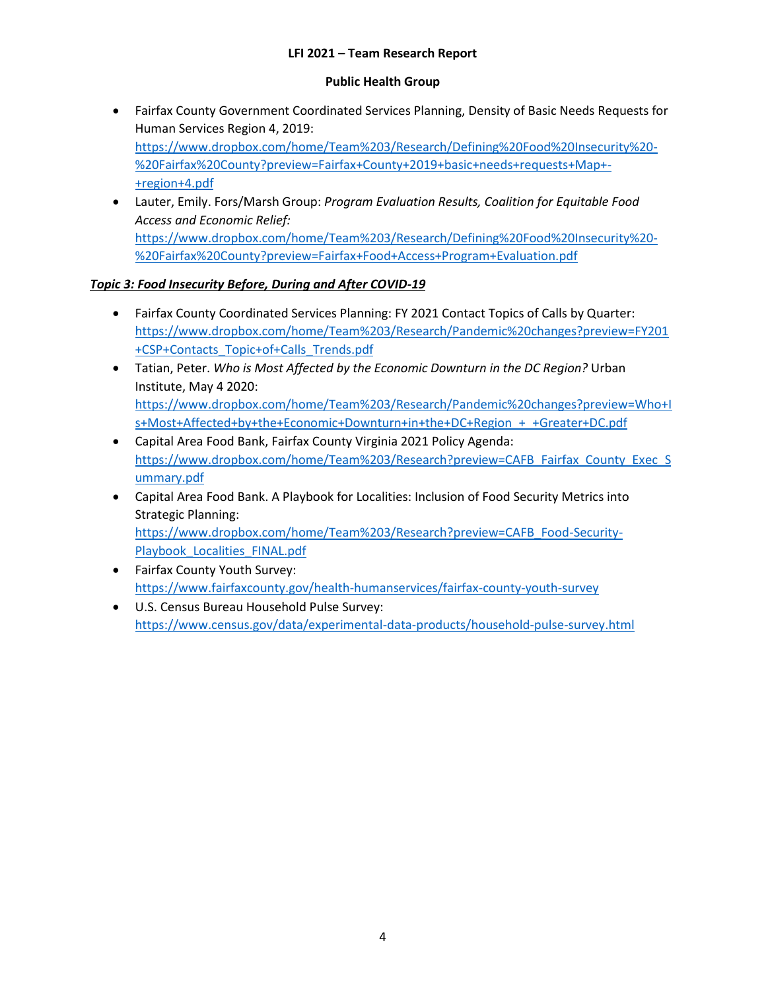### **Public Health Group**

- Fairfax County Government Coordinated Services Planning, Density of Basic Needs Requests for Human Services Region 4, 2019: [https://www.dropbox.com/home/Team%203/Research/Defining%20Food%20Insecurity%20-](https://www.dropbox.com/home/Team%203/Research/Defining%20Food%20Insecurity%20-%20Fairfax%20County?preview=Fairfax+County+2019+basic+needs+requests+Map+-+region+4.pdf) [%20Fairfax%20County?preview=Fairfax+County+2019+basic+needs+requests+Map+-](https://www.dropbox.com/home/Team%203/Research/Defining%20Food%20Insecurity%20-%20Fairfax%20County?preview=Fairfax+County+2019+basic+needs+requests+Map+-+region+4.pdf) [+region+4.pdf](https://www.dropbox.com/home/Team%203/Research/Defining%20Food%20Insecurity%20-%20Fairfax%20County?preview=Fairfax+County+2019+basic+needs+requests+Map+-+region+4.pdf)
- Lauter, Emily. Fors/Marsh Group: *Program Evaluation Results, Coalition for Equitable Food Access and Economic Relief:* [https://www.dropbox.com/home/Team%203/Research/Defining%20Food%20Insecurity%20-](https://www.dropbox.com/home/Team%203/Research/Defining%20Food%20Insecurity%20-%20Fairfax%20County?preview=Fairfax+Food+Access+Program+Evaluation.pdf) [%20Fairfax%20County?preview=Fairfax+Food+Access+Program+Evaluation.pdf](https://www.dropbox.com/home/Team%203/Research/Defining%20Food%20Insecurity%20-%20Fairfax%20County?preview=Fairfax+Food+Access+Program+Evaluation.pdf)

### *Topic 3: Food Insecurity Before, During and After COVID-19*

- Fairfax County Coordinated Services Planning: FY 2021 Contact Topics of Calls by Quarter: [https://www.dropbox.com/home/Team%203/Research/Pandemic%20changes?preview=FY201](https://www.dropbox.com/home/Team%203/Research/Pandemic%20changes?preview=FY201+CSP+Contacts_Topic+of+Calls_Trends.pdf) [+CSP+Contacts\\_Topic+of+Calls\\_Trends.pdf](https://www.dropbox.com/home/Team%203/Research/Pandemic%20changes?preview=FY201+CSP+Contacts_Topic+of+Calls_Trends.pdf)
- Tatian, Peter. *Who is Most Affected by the Economic Downturn in the DC Region?* Urban Institute, May 4 2020: [https://www.dropbox.com/home/Team%203/Research/Pandemic%20changes?preview=Who+I](https://www.dropbox.com/home/Team%203/Research/Pandemic%20changes?preview=Who+Is+Most+Affected+by+the+Economic+Downturn+in+the+DC+Region_+_+Greater+DC.pdf) [s+Most+Affected+by+the+Economic+Downturn+in+the+DC+Region\\_+\\_+Greater+DC.pdf](https://www.dropbox.com/home/Team%203/Research/Pandemic%20changes?preview=Who+Is+Most+Affected+by+the+Economic+Downturn+in+the+DC+Region_+_+Greater+DC.pdf)
- Capital Area Food Bank, Fairfax County Virginia 2021 Policy Agenda: [https://www.dropbox.com/home/Team%203/Research?preview=CAFB\\_Fairfax\\_County\\_Exec\\_S](https://www.dropbox.com/home/Team%203/Research?preview=CAFB_Fairfax_County_Exec_Summary.pdf) [ummary.pdf](https://www.dropbox.com/home/Team%203/Research?preview=CAFB_Fairfax_County_Exec_Summary.pdf)
- Capital Area Food Bank. A Playbook for Localities: Inclusion of Food Security Metrics into Strategic Planning: [https://www.dropbox.com/home/Team%203/Research?preview=CAFB\\_Food-Security-](https://www.dropbox.com/home/Team%203/Research?preview=CAFB_Food-Security-Playbook_Localities_FINAL.pdf)Playbook Localities FINAL.pdf
- Fairfax County Youth Survey: <https://www.fairfaxcounty.gov/health-humanservices/fairfax-county-youth-survey>
- U.S. Census Bureau Household Pulse Survey: <https://www.census.gov/data/experimental-data-products/household-pulse-survey.html>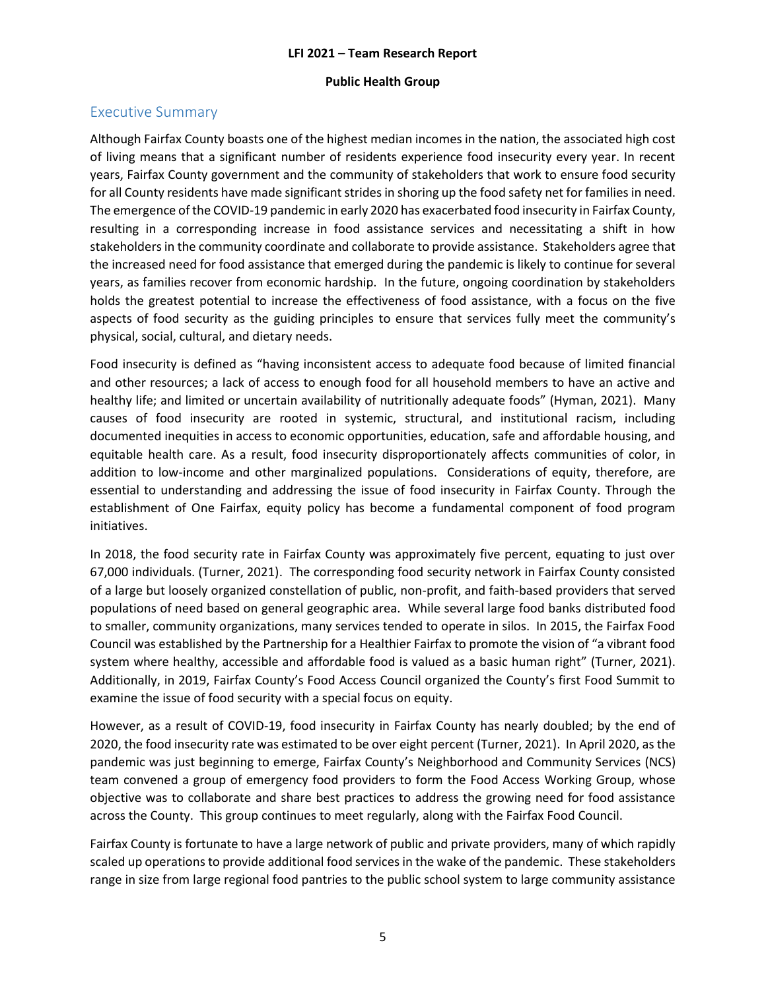#### **Public Health Group**

# Executive Summary

Although Fairfax County boasts one of the highest median incomes in the nation, the associated high cost of living means that a significant number of residents experience food insecurity every year. In recent years, Fairfax County government and the community of stakeholders that work to ensure food security for all County residents have made significant strides in shoring up the food safety net for families in need. The emergence of the COVID-19 pandemic in early 2020 has exacerbated food insecurity in Fairfax County, resulting in a corresponding increase in food assistance services and necessitating a shift in how stakeholders in the community coordinate and collaborate to provide assistance. Stakeholders agree that the increased need for food assistance that emerged during the pandemic is likely to continue for several years, as families recover from economic hardship. In the future, ongoing coordination by stakeholders holds the greatest potential to increase the effectiveness of food assistance, with a focus on the five aspects of food security as the guiding principles to ensure that services fully meet the community's physical, social, cultural, and dietary needs.

Food insecurity is defined as "having inconsistent access to adequate food because of limited financial and other resources; a lack of access to enough food for all household members to have an active and healthy life; and limited or uncertain availability of nutritionally adequate foods" (Hyman, 2021). Many causes of food insecurity are rooted in systemic, structural, and institutional racism, including documented inequities in access to economic opportunities, education, safe and affordable housing, and equitable health care. As a result, food insecurity disproportionately affects communities of color, in addition to low-income and other marginalized populations. Considerations of equity, therefore, are essential to understanding and addressing the issue of food insecurity in Fairfax County. Through the establishment of One Fairfax, equity policy has become a fundamental component of food program initiatives.

In 2018, the food security rate in Fairfax County was approximately five percent, equating to just over 67,000 individuals. (Turner, 2021). The corresponding food security network in Fairfax County consisted of a large but loosely organized constellation of public, non-profit, and faith-based providers that served populations of need based on general geographic area. While several large food banks distributed food to smaller, community organizations, many services tended to operate in silos. In 2015, the Fairfax Food Council was established by the Partnership for a Healthier Fairfax to promote the vision of "a vibrant food system where healthy, accessible and affordable food is valued as a basic human right" (Turner, 2021). Additionally, in 2019, Fairfax County's Food Access Council organized the County's first Food Summit to examine the issue of food security with a special focus on equity.

However, as a result of COVID-19, food insecurity in Fairfax County has nearly doubled; by the end of 2020, the food insecurity rate was estimated to be over eight percent (Turner, 2021). In April 2020, as the pandemic was just beginning to emerge, Fairfax County's Neighborhood and Community Services (NCS) team convened a group of emergency food providers to form the Food Access Working Group, whose objective was to collaborate and share best practices to address the growing need for food assistance across the County. This group continues to meet regularly, along with the Fairfax Food Council.

Fairfax County is fortunate to have a large network of public and private providers, many of which rapidly scaled up operations to provide additional food services in the wake of the pandemic. These stakeholders range in size from large regional food pantries to the public school system to large community assistance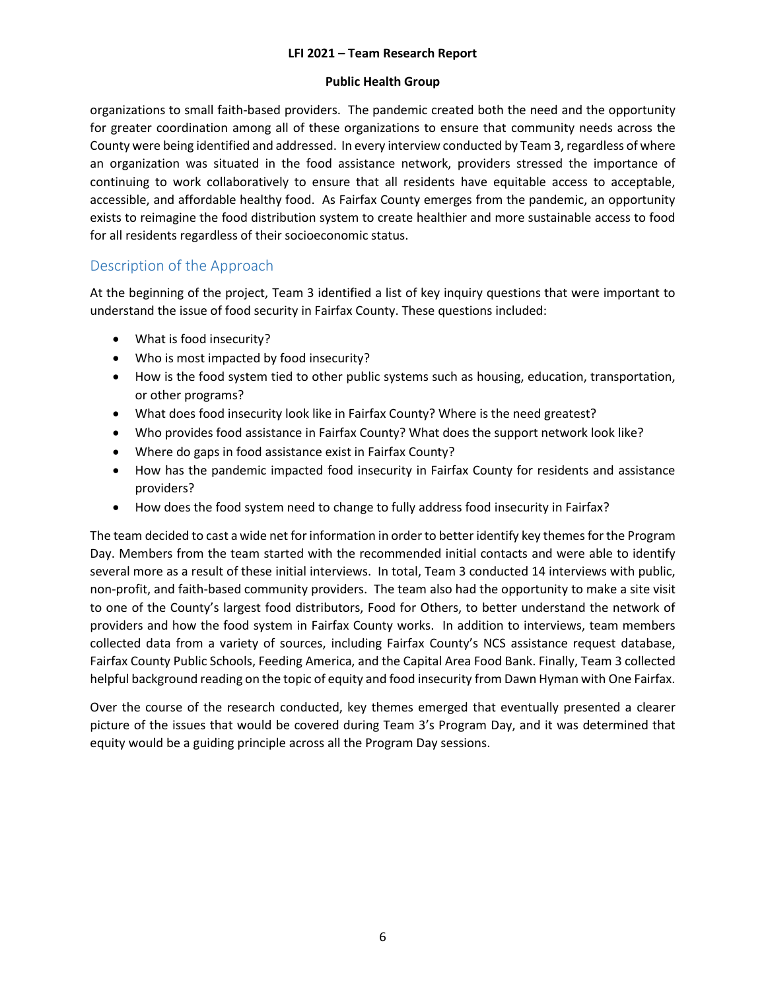### **Public Health Group**

organizations to small faith-based providers. The pandemic created both the need and the opportunity for greater coordination among all of these organizations to ensure that community needs across the County were being identified and addressed. In every interview conducted by Team 3, regardless of where an organization was situated in the food assistance network, providers stressed the importance of continuing to work collaboratively to ensure that all residents have equitable access to acceptable, accessible, and affordable healthy food. As Fairfax County emerges from the pandemic, an opportunity exists to reimagine the food distribution system to create healthier and more sustainable access to food for all residents regardless of their socioeconomic status.

# Description of the Approach

At the beginning of the project, Team 3 identified a list of key inquiry questions that were important to understand the issue of food security in Fairfax County. These questions included:

- What is food insecurity?
- Who is most impacted by food insecurity?
- How is the food system tied to other public systems such as housing, education, transportation, or other programs?
- What does food insecurity look like in Fairfax County? Where is the need greatest?
- Who provides food assistance in Fairfax County? What does the support network look like?
- Where do gaps in food assistance exist in Fairfax County?
- How has the pandemic impacted food insecurity in Fairfax County for residents and assistance providers?
- How does the food system need to change to fully address food insecurity in Fairfax?

The team decided to cast a wide net for information in order to better identify key themes for the Program Day. Members from the team started with the recommended initial contacts and were able to identify several more as a result of these initial interviews. In total, Team 3 conducted 14 interviews with public, non-profit, and faith-based community providers. The team also had the opportunity to make a site visit to one of the County's largest food distributors, Food for Others, to better understand the network of providers and how the food system in Fairfax County works. In addition to interviews, team members collected data from a variety of sources, including Fairfax County's NCS assistance request database, Fairfax County Public Schools, Feeding America, and the Capital Area Food Bank. Finally, Team 3 collected helpful background reading on the topic of equity and food insecurity from Dawn Hyman with One Fairfax.

Over the course of the research conducted, key themes emerged that eventually presented a clearer picture of the issues that would be covered during Team 3's Program Day, and it was determined that equity would be a guiding principle across all the Program Day sessions.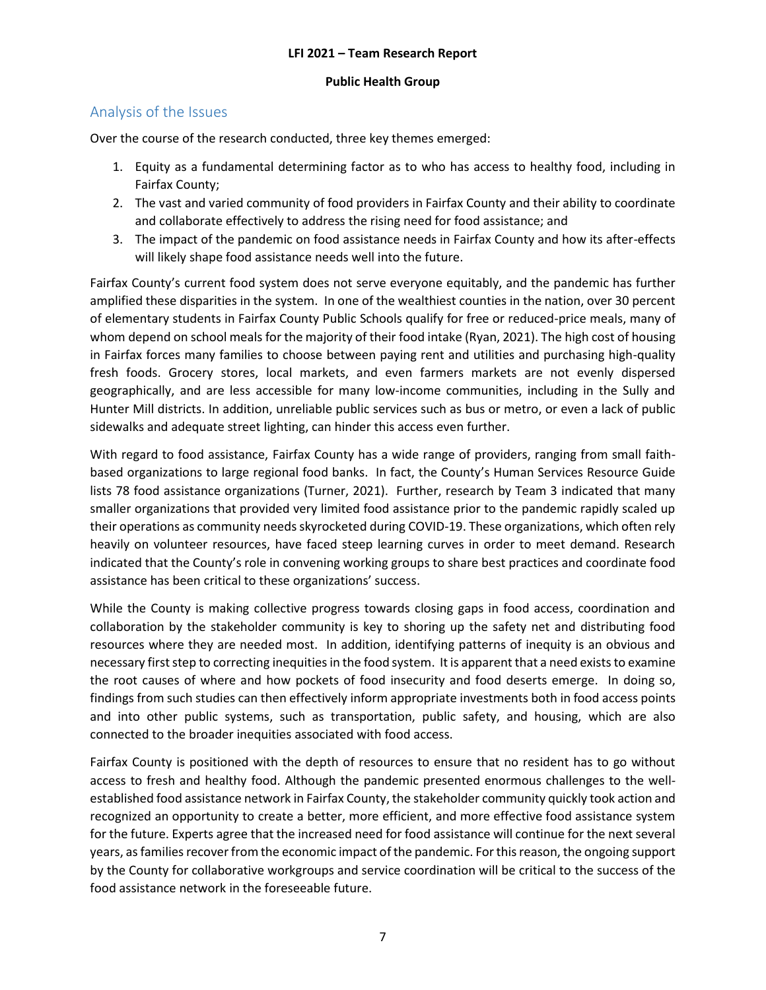#### **Public Health Group**

# Analysis of the Issues

Over the course of the research conducted, three key themes emerged:

- 1. Equity as a fundamental determining factor as to who has access to healthy food, including in Fairfax County;
- 2. The vast and varied community of food providers in Fairfax County and their ability to coordinate and collaborate effectively to address the rising need for food assistance; and
- 3. The impact of the pandemic on food assistance needs in Fairfax County and how its after-effects will likely shape food assistance needs well into the future.

Fairfax County's current food system does not serve everyone equitably, and the pandemic has further amplified these disparities in the system. In one of the wealthiest counties in the nation, over 30 percent of elementary students in Fairfax County Public Schools qualify for free or reduced-price meals, many of whom depend on school meals for the majority of their food intake (Ryan, 2021). The high cost of housing in Fairfax forces many families to choose between paying rent and utilities and purchasing high-quality fresh foods. Grocery stores, local markets, and even farmers markets are not evenly dispersed geographically, and are less accessible for many low-income communities, including in the Sully and Hunter Mill districts. In addition, unreliable public services such as bus or metro, or even a lack of public sidewalks and adequate street lighting, can hinder this access even further.

With regard to food assistance, Fairfax County has a wide range of providers, ranging from small faithbased organizations to large regional food banks. In fact, the County's Human Services Resource Guide lists 78 food assistance organizations (Turner, 2021). Further, research by Team 3 indicated that many smaller organizations that provided very limited food assistance prior to the pandemic rapidly scaled up their operations as community needs skyrocketed during COVID-19. These organizations, which often rely heavily on volunteer resources, have faced steep learning curves in order to meet demand. Research indicated that the County's role in convening working groups to share best practices and coordinate food assistance has been critical to these organizations' success.

While the County is making collective progress towards closing gaps in food access, coordination and collaboration by the stakeholder community is key to shoring up the safety net and distributing food resources where they are needed most. In addition, identifying patterns of inequity is an obvious and necessary first step to correcting inequitiesin the food system. It is apparent that a need exists to examine the root causes of where and how pockets of food insecurity and food deserts emerge. In doing so, findings from such studies can then effectively inform appropriate investments both in food access points and into other public systems, such as transportation, public safety, and housing, which are also connected to the broader inequities associated with food access.

Fairfax County is positioned with the depth of resources to ensure that no resident has to go without access to fresh and healthy food. Although the pandemic presented enormous challenges to the wellestablished food assistance network in Fairfax County, the stakeholder community quickly took action and recognized an opportunity to create a better, more efficient, and more effective food assistance system for the future. Experts agree that the increased need for food assistance will continue for the next several years, as families recover from the economic impact of the pandemic. For this reason, the ongoing support by the County for collaborative workgroups and service coordination will be critical to the success of the food assistance network in the foreseeable future.